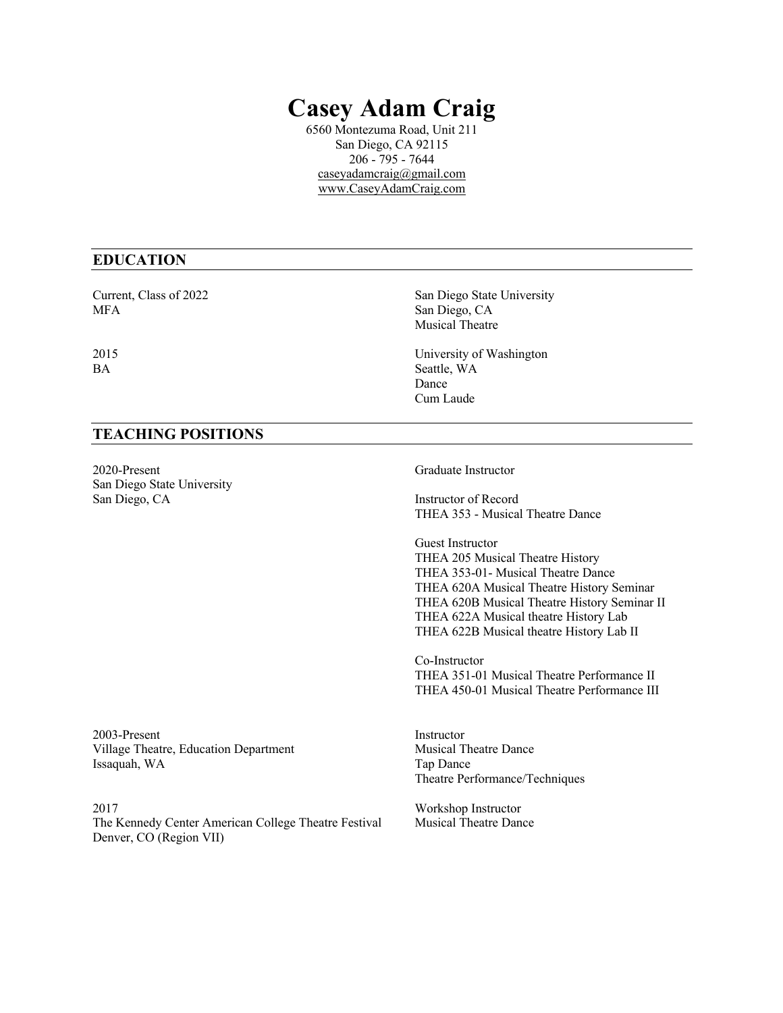## **Casey Adam Craig**

6560 Montezuma Road, Unit 211 San Diego, CA 92115 206 - 795 - 7644 caseyadamcraig@gmail.com www.CaseyAdamCraig.com

## **EDUCATION**

Current, Class of 2022 San Diego State University MFA San Diego, CA

# Musical Theatre

2015 University of Washington BA Seattle, WA Dance Cum Laude

## **TEACHING POSITIONS**

2020-Present Graduate Instructor San Diego State University San Diego, CA Instructor of Record

THEA 353 - Musical Theatre Dance

Guest Instructor THEA 205 Musical Theatre History THEA 353-01- Musical Theatre Dance THEA 620A Musical Theatre History Seminar THEA 620B Musical Theatre History Seminar II THEA 622A Musical theatre History Lab THEA 622B Musical theatre History Lab II

Co-Instructor THEA 351-01 Musical Theatre Performance II THEA 450-01 Musical Theatre Performance III

2003-Present Instructor Village Theatre, Education Department Musical Theatre Dance Issaquah, WA Tap Dance

2017 Workshop Instructor<br>The Kennedy Center American College Theatre Festival Musical Theatre Dance The Kennedy Center American College Theatre Festival Denver, CO (Region VII)

Theatre Performance/Techniques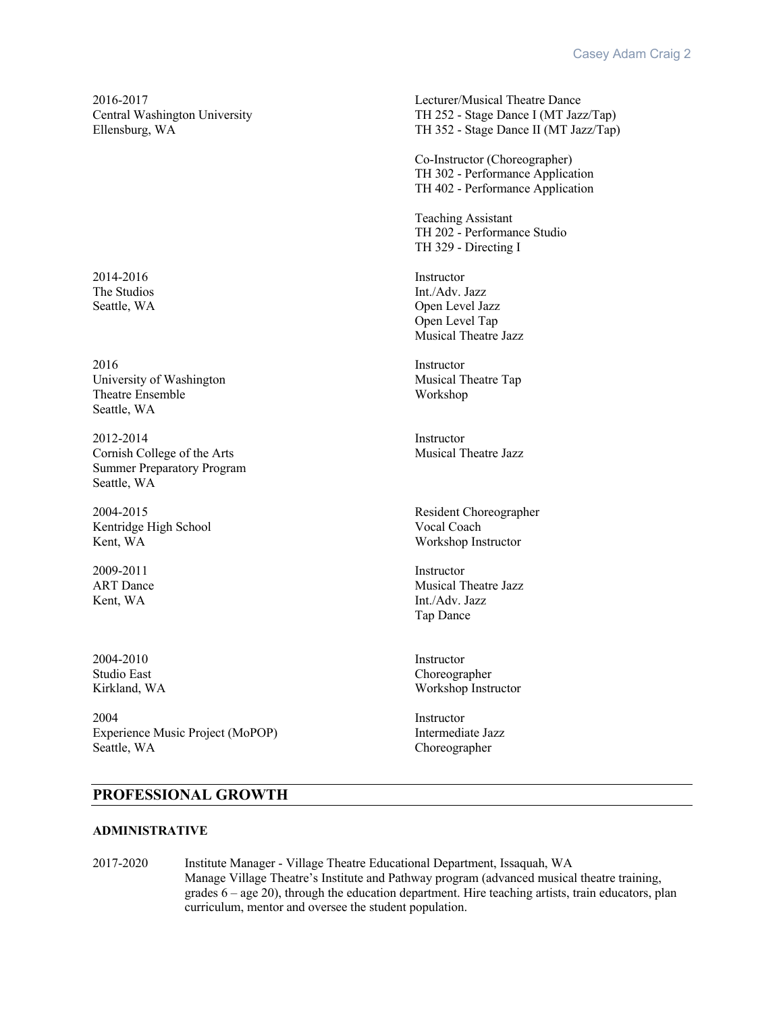2014-2016 Instructor

2016 Instructor University of Washington Musical Theatre Tap Theatre Ensemble Workshop Seattle, WA

2012-2014 Instructor Cornish College of the Arts Musical Theatre Jazz Summer Preparatory Program Seattle, WA

Kentridge High School Vocal Coach<br>Kent, WA Workshop Ins

2009-2011 Instructor

2004-2010 Instructor

2004 Instructor Experience Music Project (MoPOP) Intermediate Jazz Seattle, WA Choreographer

2016-2017 Lecturer/Musical Theatre Dance Central Washington University TH 252 - Stage Dance I (MT Jazz/Tap) Ellensburg, WA TH 352 - Stage Dance II (MT Jazz/Tap)

> Co-Instructor (Choreographer) TH 302 - Performance Application TH 402 - Performance Application

Teaching Assistant TH 202 - Performance Studio TH 329 - Directing I

The Studios Int./Adv. Jazz Seattle, WA Open Level Jazz Open Level Tap Musical Theatre Jazz

2004-2015 Resident Choreographer Workshop Instructor

ART Dance Musical Theatre Jazz Kent, WA Int./Adv. Jazz Tap Dance

Studio East Choreographer Kirkland, WA Workshop Instructor

## **PROFESSIONAL GROWTH**

#### **ADMINISTRATIVE**

2017-2020 Institute Manager - Village Theatre Educational Department, Issaquah, WA Manage Village Theatre's Institute and Pathway program (advanced musical theatre training, grades 6 – age 20), through the education department. Hire teaching artists, train educators, plan curriculum, mentor and oversee the student population.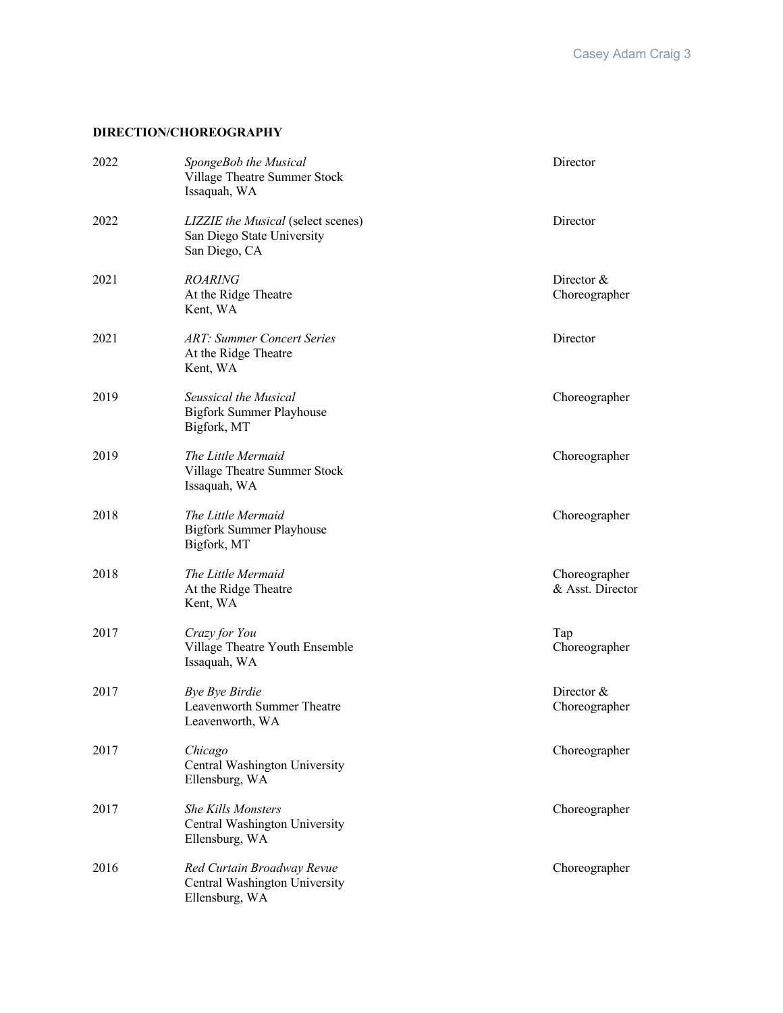## **DIRECTION/CHOREOGRAPHY**

| 2022 | SpongeBob the Musical<br>Village Theatre Summer Stock<br>Issaquah, WA             | Director                          |
|------|-----------------------------------------------------------------------------------|-----------------------------------|
| 2022 | LIZZIE the Musical (select scenes)<br>San Diego State University<br>San Diego, CA | Director                          |
| 2021 | <b>ROARING</b><br>At the Ridge Theatre<br>Kent, WA                                | Director $&$<br>Choreographer     |
| 2021 | <b>ART: Summer Concert Series</b><br>At the Ridge Theatre<br>Kent, WA             | Director                          |
| 2019 | Seussical the Musical<br><b>Bigfork Summer Playhouse</b><br>Bigfork, MT           | Choreographer                     |
| 2019 | The Little Mermaid<br>Village Theatre Summer Stock<br>Issaquah, WA                | Choreographer                     |
| 2018 | The Little Mermaid<br><b>Bigfork Summer Playhouse</b><br>Bigfork, MT              | Choreographer                     |
| 2018 | The Little Mermaid<br>At the Ridge Theatre<br>Kent, WA                            | Choreographer<br>& Asst. Director |
| 2017 | Crazy for You<br>Village Theatre Youth Ensemble<br>Issaquah, WA                   | Tap<br>Choreographer              |
| 2017 | <b>Bye Bye Birdie</b><br>Leavenworth Summer Theatre<br>Leavenworth, WA            | Director $&$<br>Choreographer     |
| 2017 | Chicago<br>Central Washington University<br>Ellensburg, WA                        | Choreographer                     |
| 2017 | <b>She Kills Monsters</b><br>Central Washington University<br>Ellensburg, WA      | Choreographer                     |
| 2016 | Red Curtain Broadway Revue<br>Central Washington University<br>Ellensburg, WA     | Choreographer                     |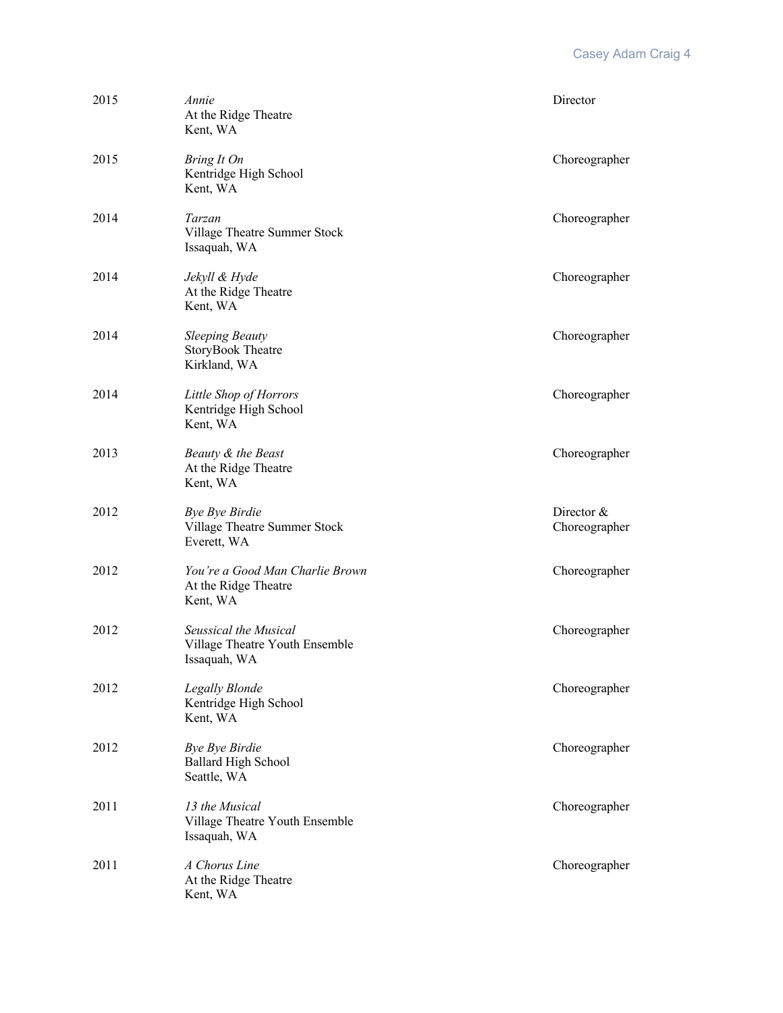| 2015 | Annie<br>At the Ridge Theatre<br>Kent, WA                               | Director                    |
|------|-------------------------------------------------------------------------|-----------------------------|
| 2015 | Bring It On<br>Kentridge High School<br>Kent, WA                        | Choreographer               |
| 2014 | Tarzan<br>Village Theatre Summer Stock<br>Issaquah, WA                  | Choreographer               |
| 2014 | Jekyll & Hyde<br>At the Ridge Theatre<br>Kent, WA                       | Choreographer               |
| 2014 | <b>Sleeping Beauty</b><br><b>StoryBook Theatre</b><br>Kirkland, WA      | Choreographer               |
| 2014 | Little Shop of Horrors<br>Kentridge High School<br>Kent, WA             | Choreographer               |
| 2013 | Beauty & the Beast<br>At the Ridge Theatre<br>Kent, WA                  | Choreographer               |
| 2012 | <b>Bye Bye Birdie</b><br>Village Theatre Summer Stock<br>Everett, WA    | Director &<br>Choreographer |
| 2012 | You're a Good Man Charlie Brown<br>At the Ridge Theatre<br>Kent, WA     | Choreographer               |
| 2012 | Seussical the Musical<br>Village Theatre Youth Ensemble<br>Issaquah, WA | Choreographer               |
| 2012 | <b>Legally Blonde</b><br>Kentridge High School<br>Kent, WA              | Choreographer               |
| 2012 | <b>Bye Bye Birdie</b><br><b>Ballard High School</b><br>Seattle, WA      | Choreographer               |
| 2011 | 13 the Musical<br>Village Theatre Youth Ensemble<br>Issaquah, WA        | Choreographer               |
| 2011 | A Chorus Line<br>At the Ridge Theatre<br>Kent, WA                       | Choreographer               |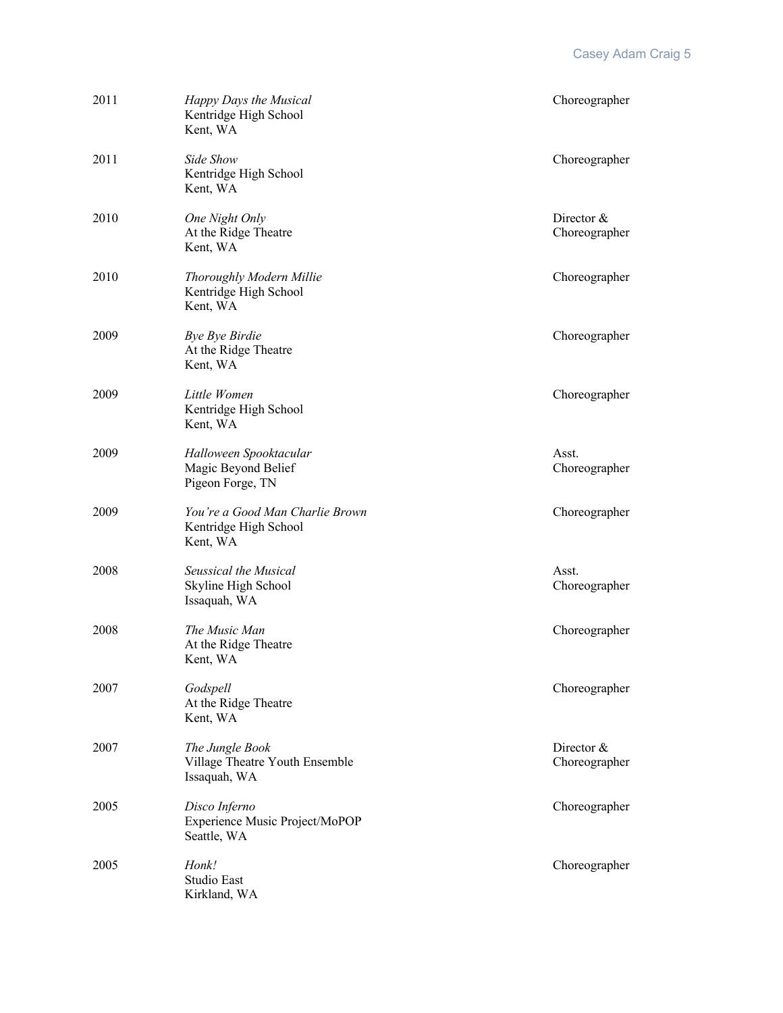| 2011 | Happy Days the Musical<br>Kentridge High School<br>Kent, WA          | Choreographer               |
|------|----------------------------------------------------------------------|-----------------------------|
| 2011 | Side Show<br>Kentridge High School<br>Kent, WA                       | Choreographer               |
| 2010 | One Night Only<br>At the Ridge Theatre<br>Kent, WA                   | Director &<br>Choreographer |
| 2010 | Thoroughly Modern Millie<br>Kentridge High School<br>Kent, WA        | Choreographer               |
| 2009 | Bye Bye Birdie<br>At the Ridge Theatre<br>Kent, WA                   | Choreographer               |
| 2009 | Little Women<br>Kentridge High School<br>Kent, WA                    | Choreographer               |
| 2009 | Halloween Spooktacular<br>Magic Beyond Belief<br>Pigeon Forge, TN    | Asst.<br>Choreographer      |
| 2009 | You're a Good Man Charlie Brown<br>Kentridge High School<br>Kent, WA | Choreographer               |
| 2008 | Seussical the Musical<br>Skyline High School<br>Issaquah, WA         | Asst.<br>Choreographer      |
| 2008 | The Music Man<br>At the Ridge Theatre<br>Kent, WA                    | Choreographer               |
| 2007 | Godspell<br>At the Ridge Theatre<br>Kent, WA                         | Choreographer               |
| 2007 | The Jungle Book<br>Village Theatre Youth Ensemble<br>Issaquah, WA    | Director &<br>Choreographer |
| 2005 | Disco Inferno<br>Experience Music Project/MoPOP<br>Seattle, WA       | Choreographer               |
| 2005 | Honk!<br>Studio East<br>Kirkland, WA                                 | Choreographer               |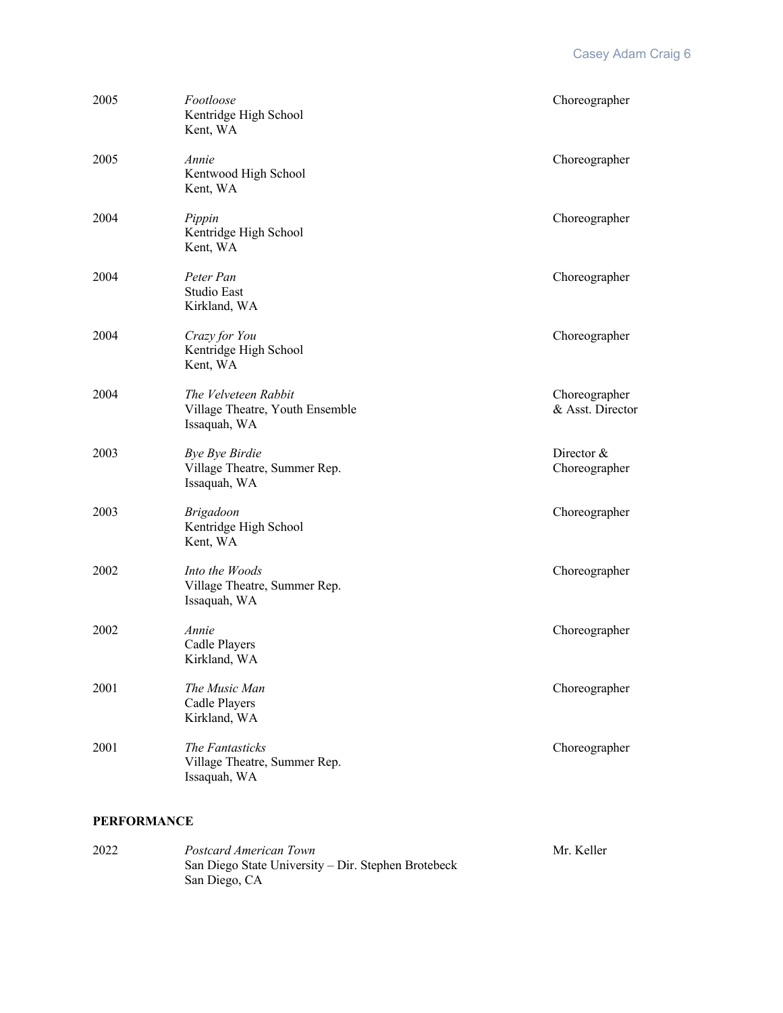| 2005 | Footloose<br>Kentridge High School<br>Kent, WA                          | Choreographer                     |
|------|-------------------------------------------------------------------------|-----------------------------------|
| 2005 | Annie<br>Kentwood High School<br>Kent, WA                               | Choreographer                     |
| 2004 | Pippin<br>Kentridge High School<br>Kent, WA                             | Choreographer                     |
| 2004 | Peter Pan<br>Studio East<br>Kirkland, WA                                | Choreographer                     |
| 2004 | Crazy for You<br>Kentridge High School<br>Kent, WA                      | Choreographer                     |
| 2004 | The Velveteen Rabbit<br>Village Theatre, Youth Ensemble<br>Issaquah, WA | Choreographer<br>& Asst. Director |
| 2003 | <b>Bye Bye Birdie</b><br>Village Theatre, Summer Rep.<br>Issaquah, WA   | Director $&$<br>Choreographer     |
| 2003 | <b>Brigadoon</b><br>Kentridge High School<br>Kent, WA                   | Choreographer                     |
| 2002 | Into the Woods<br>Village Theatre, Summer Rep.<br>Issaquah, WA          | Choreographer                     |
| 2002 | Annie<br>Cadle Players<br>Kirkland, WA                                  | Choreographer                     |
| 2001 | The Music Man<br>Cadle Players<br>Kirkland, WA                          | Choreographer                     |
| 2001 | The Fantasticks<br>Village Theatre, Summer Rep.<br>Issaquah, WA         | Choreographer                     |

## **PERFORMANCE**

| 2022 | Postcard American Town                              | Mr. Keller |
|------|-----------------------------------------------------|------------|
|      | San Diego State University – Dir. Stephen Brotebeck |            |
|      | San Diego, CA                                       |            |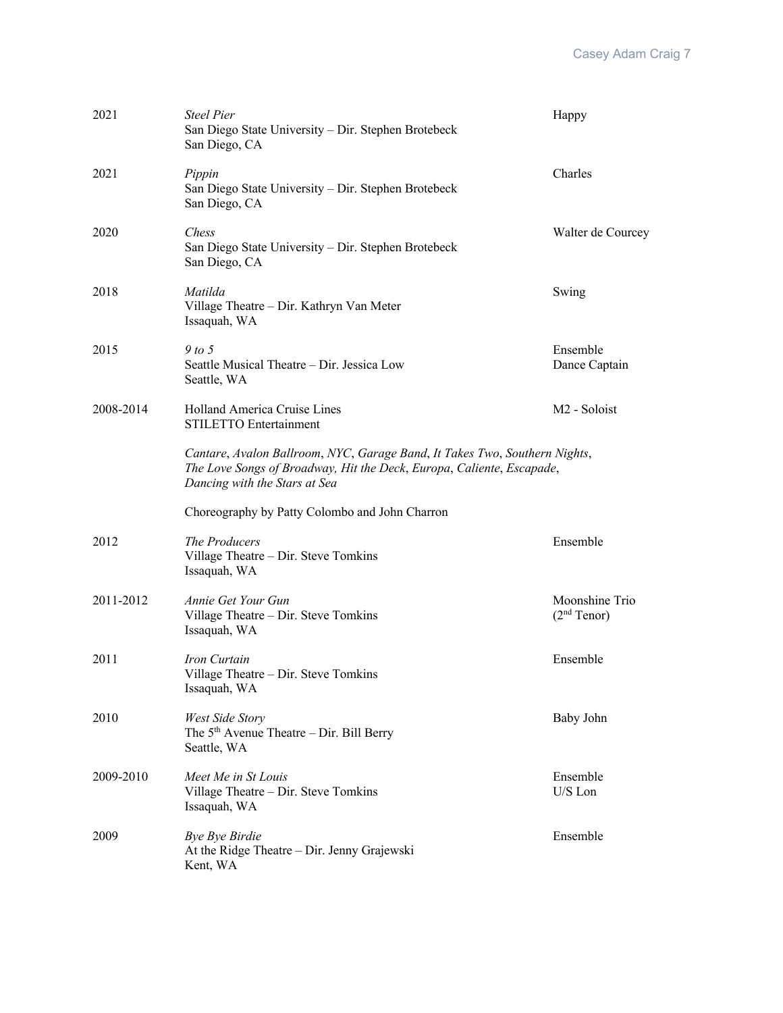| 2021      | <b>Steel Pier</b><br>San Diego State University - Dir. Stephen Brotebeck<br>San Diego, CA                                                                                            | Happy                                     |
|-----------|--------------------------------------------------------------------------------------------------------------------------------------------------------------------------------------|-------------------------------------------|
| 2021      | Pippin<br>San Diego State University - Dir. Stephen Brotebeck<br>San Diego, CA                                                                                                       | Charles                                   |
| 2020      | <i>Chess</i><br>San Diego State University - Dir. Stephen Brotebeck<br>San Diego, CA                                                                                                 | Walter de Courcey                         |
| 2018      | Matilda<br>Village Theatre - Dir. Kathryn Van Meter<br>Issaquah, WA                                                                                                                  | Swing                                     |
| 2015      | 9 to 5<br>Seattle Musical Theatre – Dir. Jessica Low<br>Seattle, WA                                                                                                                  | Ensemble<br>Dance Captain                 |
| 2008-2014 | Holland America Cruise Lines<br><b>STILETTO Entertainment</b>                                                                                                                        | M <sub>2</sub> - Soloist                  |
|           | Cantare, Avalon Ballroom, NYC, Garage Band, It Takes Two, Southern Nights,<br>The Love Songs of Broadway, Hit the Deck, Europa, Caliente, Escapade,<br>Dancing with the Stars at Sea |                                           |
|           | Choreography by Patty Colombo and John Charron                                                                                                                                       |                                           |
| 2012      | The Producers<br>Village Theatre - Dir. Steve Tomkins<br>Issaquah, WA                                                                                                                | Ensemble                                  |
| 2011-2012 | Annie Get Your Gun<br>Village Theatre - Dir. Steve Tomkins<br>Issaquah, WA                                                                                                           | Moonshine Trio<br>(2 <sup>nd</sup> Tenor) |
| 2011      | Iron Curtain<br>Village Theatre - Dir. Steve Tomkins<br>Issaquah, WA                                                                                                                 | Ensemble                                  |
| 2010      | West Side Story<br>The $5th$ Avenue Theatre – Dir. Bill Berry<br>Seattle, WA                                                                                                         | Baby John                                 |
| 2009-2010 | Meet Me in St Louis<br>Village Theatre - Dir. Steve Tomkins<br>Issaquah, WA                                                                                                          | Ensemble<br>U/S Lon                       |
| 2009      | <b>Bye Bye Birdie</b><br>At the Ridge Theatre – Dir. Jenny Grajewski<br>Kent, WA                                                                                                     | Ensemble                                  |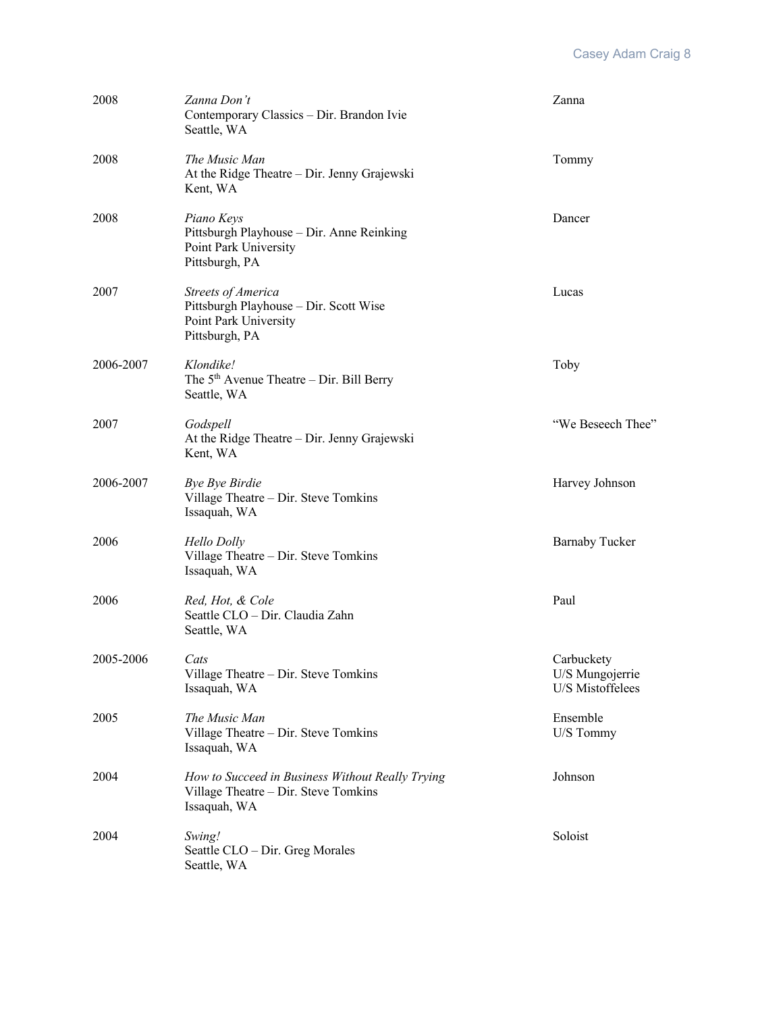| 2008      | Zanna Don't<br>Contemporary Classics - Dir. Brandon Ivie<br>Seattle, WA                                        | Zanna                                             |
|-----------|----------------------------------------------------------------------------------------------------------------|---------------------------------------------------|
| 2008      | The Music Man<br>At the Ridge Theatre - Dir. Jenny Grajewski<br>Kent, WA                                       | Tommy                                             |
| 2008      | Piano Keys<br>Pittsburgh Playhouse - Dir. Anne Reinking<br>Point Park University<br>Pittsburgh, PA             | Dancer                                            |
| 2007      | <b>Streets of America</b><br>Pittsburgh Playhouse - Dir. Scott Wise<br>Point Park University<br>Pittsburgh, PA | Lucas                                             |
| 2006-2007 | Klondike!<br>The $5th$ Avenue Theatre – Dir. Bill Berry<br>Seattle, WA                                         | Toby                                              |
| 2007      | Godspell<br>At the Ridge Theatre - Dir. Jenny Grajewski<br>Kent, WA                                            | "We Beseech Thee"                                 |
| 2006-2007 | Bye Bye Birdie<br>Village Theatre - Dir. Steve Tomkins<br>Issaquah, WA                                         | Harvey Johnson                                    |
| 2006      | <b>Hello Dolly</b><br>Village Theatre - Dir. Steve Tomkins<br>Issaquah, WA                                     | <b>Barnaby Tucker</b>                             |
| 2006      | Red, Hot, & Cole<br>Seattle CLO - Dir. Claudia Zahn<br>Seattle, WA                                             | Paul                                              |
| 2005-2006 | Cats<br>Village Theatre - Dir. Steve Tomkins<br>Issaquah, WA                                                   | Carbuckety<br>U/S Mungojerrie<br>U/S Mistoffelees |
| 2005      | The Music Man<br>Village Theatre - Dir. Steve Tomkins<br>Issaquah, WA                                          | Ensemble<br>U/S Tommy                             |
| 2004      | How to Succeed in Business Without Really Trying<br>Village Theatre - Dir. Steve Tomkins<br>Issaquah, WA       | Johnson                                           |
| 2004      | Swing!<br>Seattle CLO – Dir. Greg Morales<br>Seattle, WA                                                       | Soloist                                           |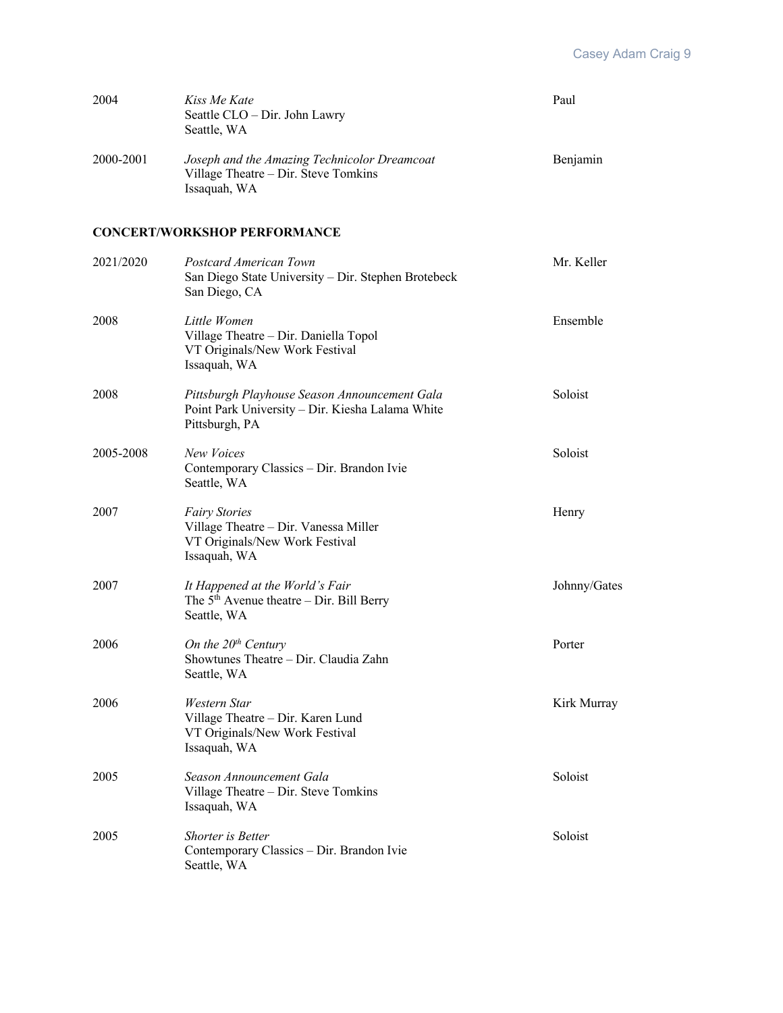| 2004      | Kiss Me Kate<br>Seattle CLO - Dir. John Lawry<br>Seattle, WA                                                        | Paul         |
|-----------|---------------------------------------------------------------------------------------------------------------------|--------------|
| 2000-2001 | Joseph and the Amazing Technicolor Dreamcoat<br>Village Theatre - Dir. Steve Tomkins<br>Issaquah, WA                | Benjamin     |
|           | <b>CONCERT/WORKSHOP PERFORMANCE</b>                                                                                 |              |
| 2021/2020 | Postcard American Town<br>San Diego State University - Dir. Stephen Brotebeck<br>San Diego, CA                      | Mr. Keller   |
| 2008      | Little Women<br>Village Theatre - Dir. Daniella Topol<br>VT Originals/New Work Festival<br>Issaquah, WA             | Ensemble     |
| 2008      | Pittsburgh Playhouse Season Announcement Gala<br>Point Park University - Dir. Kiesha Lalama White<br>Pittsburgh, PA | Soloist      |
| 2005-2008 | New Voices<br>Contemporary Classics - Dir. Brandon Ivie<br>Seattle, WA                                              | Soloist      |
| 2007      | <b>Fairy Stories</b><br>Village Theatre - Dir. Vanessa Miller<br>VT Originals/New Work Festival<br>Issaquah, WA     | Henry        |
| 2007      | It Happened at the World's Fair<br>The $5th$ Avenue theatre – Dir. Bill Berry<br>Seattle, WA                        | Johnny/Gates |
| 2006      | On the $20th$ Century<br>Showtunes Theatre - Dir. Claudia Zahn<br>Seattle, WA                                       | Porter       |
| 2006      | Western Star<br>Village Theatre - Dir. Karen Lund<br>VT Originals/New Work Festival<br>Issaquah, WA                 | Kirk Murray  |
| 2005      | Season Announcement Gala<br>Village Theatre - Dir. Steve Tomkins<br>Issaquah, WA                                    | Soloist      |
| 2005      | <b>Shorter</b> is Better<br>Contemporary Classics - Dir. Brandon Ivie<br>Seattle, WA                                | Soloist      |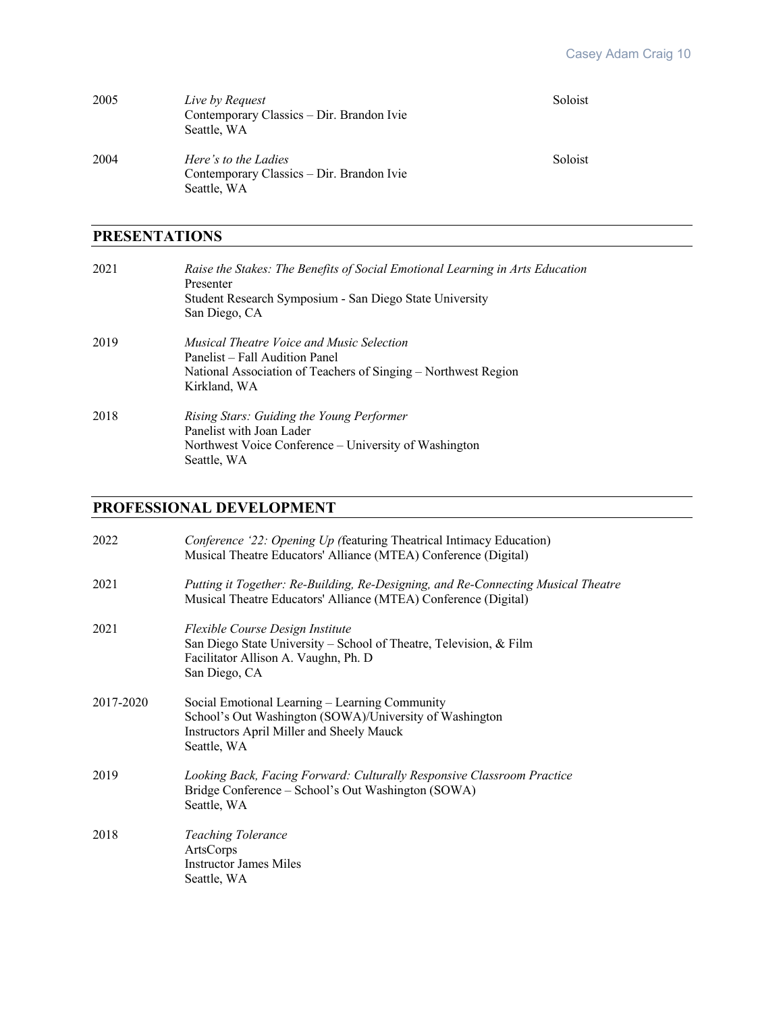| 2005 | Live by Request<br>Contemporary Classics – Dir. Brandon Ivie<br>Seattle, WA      | Soloist |
|------|----------------------------------------------------------------------------------|---------|
| 2004 | Here's to the Ladies<br>Contemporary Classics – Dir. Brandon Ivie<br>Seattle, WA | Soloist |

## **PRESENTATIONS**

| 2021 | Raise the Stakes: The Benefits of Social Emotional Learning in Arts Education<br>Presenter<br>Student Research Symposium - San Diego State University<br>San Diego, CA |
|------|------------------------------------------------------------------------------------------------------------------------------------------------------------------------|
| 2019 | Musical Theatre Voice and Music Selection<br>Panelist – Fall Audition Panel<br>National Association of Teachers of Singing – Northwest Region<br>Kirkland, WA          |
| 2018 | Rising Stars: Guiding the Young Performer<br>Panelist with Joan Lader<br>Northwest Voice Conference – University of Washington<br>Seattle, WA                          |

## **PROFESSIONAL DEVELOPMENT**

| 2022      | Conference '22: Opening Up (featuring Theatrical Intimacy Education)<br>Musical Theatre Educators' Alliance (MTEA) Conference (Digital)                               |
|-----------|-----------------------------------------------------------------------------------------------------------------------------------------------------------------------|
| 2021      | Putting it Together: Re-Building, Re-Designing, and Re-Connecting Musical Theatre<br>Musical Theatre Educators' Alliance (MTEA) Conference (Digital)                  |
| 2021      | Flexible Course Design Institute<br>San Diego State University – School of Theatre, Television, & Film<br>Facilitator Allison A. Vaughn, Ph. D<br>San Diego, CA       |
| 2017-2020 | Social Emotional Learning – Learning Community<br>School's Out Washington (SOWA)/University of Washington<br>Instructors April Miller and Sheely Mauck<br>Seattle, WA |
| 2019      | Looking Back, Facing Forward: Culturally Responsive Classroom Practice<br>Bridge Conference – School's Out Washington (SOWA)<br>Seattle, WA                           |
| 2018      | <b>Teaching Tolerance</b><br>ArtsCorps<br><b>Instructor James Miles</b><br>Seattle, WA                                                                                |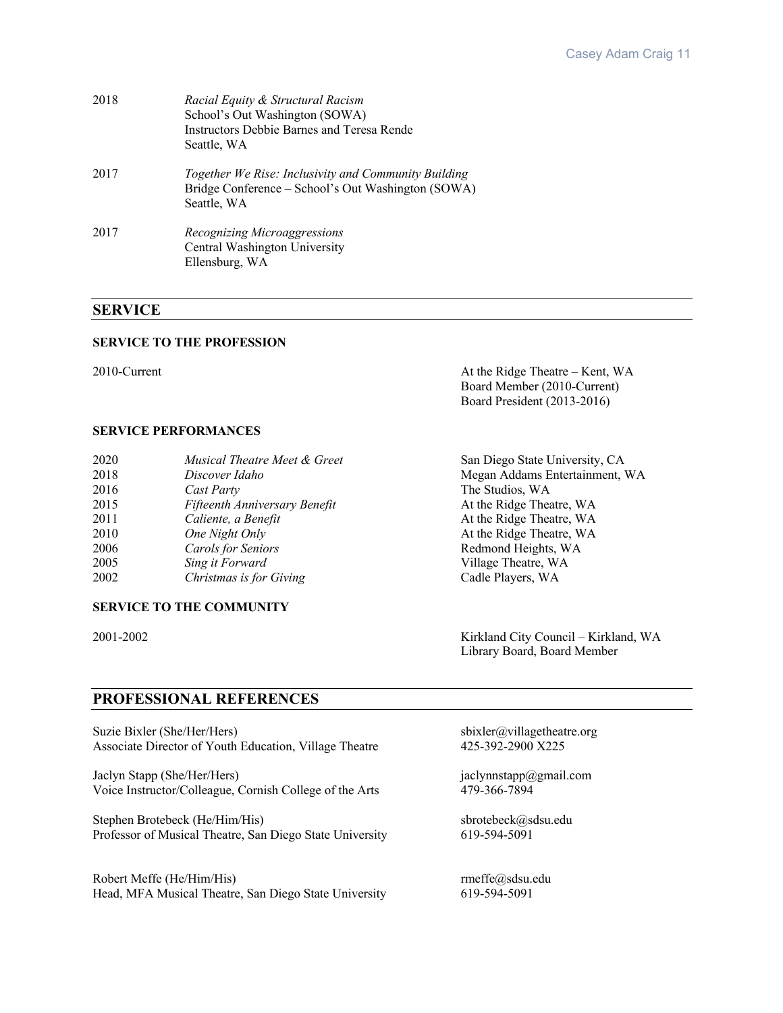| 2018 | Racial Equity & Structural Racism<br>School's Out Washington (SOWA)<br>Instructors Debbie Barnes and Teresa Rende<br>Seattle, WA |
|------|----------------------------------------------------------------------------------------------------------------------------------|
| 2017 | Together We Rise: Inclusivity and Community Building<br>Bridge Conference – School's Out Washington (SOWA)<br>Seattle, WA        |
| 2017 | Recognizing Microaggressions<br>Central Washington University<br>Ellensburg, WA                                                  |

## **SERVICE**

#### **SERVICE TO THE PROFESSION**

2010-Current At the Ridge Theatre – Kent, WA Board Member (2010-Current) Board President (2013-2016)

## **SERVICE PERFORMANCES**

| 2020 | Musical Theatre Meet & Greet  | San Diego State University, CA |
|------|-------------------------------|--------------------------------|
| 2018 | Discover Idaho                | Megan Addams Entertainment, WA |
| 2016 | Cast Party                    | The Studios, WA                |
| 2015 | Fifteenth Anniversary Benefit | At the Ridge Theatre, WA       |
| 2011 | Caliente, a Benefit           | At the Ridge Theatre, WA       |
| 2010 | One Night Only                | At the Ridge Theatre, WA       |
| 2006 | <b>Carols for Seniors</b>     | Redmond Heights, WA            |
| 2005 | Sing it Forward               | Village Theatre, WA            |
| 2002 | Christmas is for Giving       | Cadle Players, WA              |

## **SERVICE TO THE COMMUNITY**

2001-2002 Kirkland City Council – Kirkland, WA Library Board, Board Member

## **PROFESSIONAL REFERENCES**

Suzie Bixler (She/Her/Hers) sbixler@villagetheatre.org<br>Associate Director of Youth Education, Village Theatre 425-392-2900 X225 Associate Director of Youth Education, Village Theatre

Jaclyn Stapp (She/Her/Hers)<br>
Voice Instructor/Colleague, Cornish College of the Arts<br>
479-366-7894<br>
19-366-7894 Voice Instructor/Colleague, Cornish College of the Arts

Stephen Brotebeck (He/Him/His) sbrotebeck@sdsu.edu Professor of Musical Theatre, San Diego State University 619-594-5091

Robert Meffe (He/Him/His)<br>
Head, MFA Musical Theatre, San Diego State University 619-594-5091 Head, MFA Musical Theatre, San Diego State University